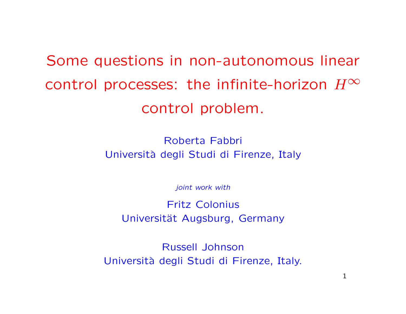Some questions in non-autonomous linear control processes: the infinite-horizon  $H^\infty$ control problem.

> Roberta Fabbri Universit`a degli Studi di Firenze, Italy

> > joint work with

Fritz Colonius Universität Augsburg, Germany

Russell Johnson Universit`a degli Studi di Firenze, Italy.

1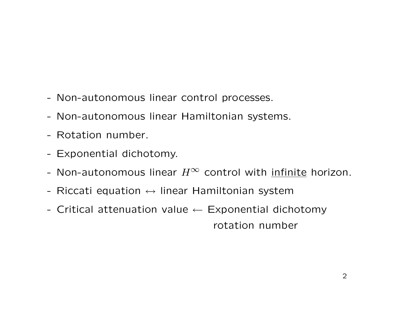- Non-autonomous linear control processes.
- Non-autonomous linear Hamiltonian systems.
- Rotation number.
- Exponential dichotomy.
- Non-autonomous linear  $H^\infty$  control with infinite horizon.
- Riccati equation  $\leftrightarrow$  linear Hamiltonian system
- Critical attenuation value  $\leftarrow$  Exponential dichotomy rotation number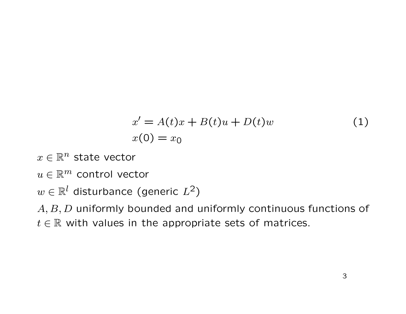$$
x' = A(t)x + B(t)u + D(t)w
$$
  
\n
$$
x(0) = x_0
$$
\n(1)

- $x \in \mathbb{R}^n$  state vector
- $u \in \mathbb{R}^m$  control vector

 $w \in \mathbb{R}^l$  disturbance (generic  $L^2$ )

 $A, B, D$  uniformly bounded and uniformly continuous functions of  $t \in \mathbb{R}$  with values in the appropriate sets of matrices.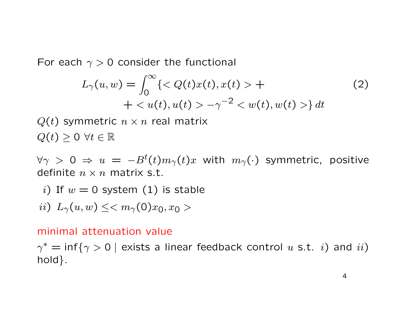For each  $\gamma > 0$  consider the functional

$$
L_{\gamma}(u, w) = \int_0^{\infty} \{  +
$$
  
+ < u(t), u(t) > -\gamma^{-2} < w(t), w(t) > \} dt (2)

 $Q(t)$  symmetric  $n \times n$  real matrix  $Q(t) \geq 0 \ \forall t \in \mathbb{R}$ 

 $\forall \gamma > 0 \Rightarrow u = -B^t(t)m_\gamma(t)x$  with  $m_\gamma(\cdot)$  symmetric, positive definite  $n \times n$  matrix s.t.

i) If  $w = 0$  system (1) is stable

$$
ii)\ \ L_{\gamma}(u,w)\leq
$$

#### minimal attenuation value

 $\gamma^* = \inf\{\gamma > 0 \mid \text{exists a linear feedback control } u \text{ s.t. } i) \text{ and } ii)$ hold }.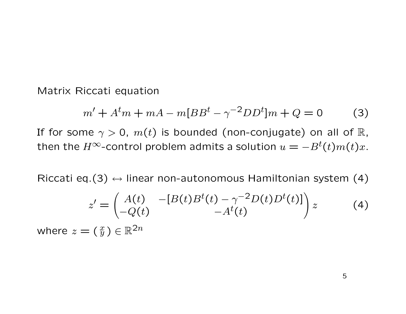Matrix Riccati equation

$$
m' + Atm + mA - m[BBt - \gamma-2DDt]m + Q = 0
$$
 (3)

If for some  $\gamma > 0$ ,  $m(t)$  is bounded (non-conjugate) on all of R, then the  $H^{\infty}$ -control problem admits a solution  $u = -B^{t}(t)m(t)x$ .

Riccati eq.(3)  $\leftrightarrow$  linear non-autonomous Hamiltonian system (4)

$$
z' = \begin{pmatrix} A(t) & -[B(t)Bt(t) - \gamma^{-2}D(t)Dt(t)] \\ -Q(t) & -At(t) \end{pmatrix} z
$$
 (4)

where  $z=(\frac{x}{y})\in\mathbb{R}^{2n}$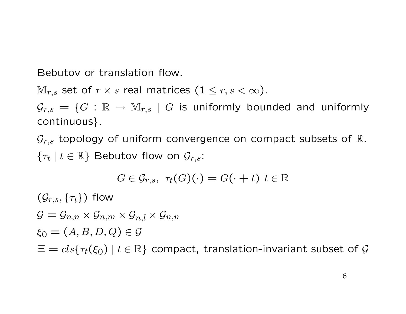Bebutov or translation flow.

 $\mathbb{M}_{r,s}$  set of  $r \times s$  real matrices  $(1 \leq r, s < \infty)$ .

 $\mathcal{G}_{r,s} = \{G : \mathbb{R} \to \mathbb{M}_{r,s} \mid G \text{ is uniformly bounded and uniformly}\}$ continuous}.

 $\mathcal{G}_{r,s}$  topology of uniform convergence on compact subsets of  $\mathbb{R}.$  $\{\tau_t \mid t \in \mathbb{R}\}$  Bebutov flow on  $\mathcal{G}_{r,s}$ :

$$
G \in \mathcal{G}_{r,s}, \ \tau_t(G)(\cdot) = G(\cdot + t) \ t \in \mathbb{R}
$$

 $(\mathcal{G}_{r,s}, \{\tau_t\})$  flow  $G = \mathcal{G}_{n,n} \times \mathcal{G}_{n,m} \times \mathcal{G}_{n,l} \times \mathcal{G}_{n,n}$  $\xi_0 = (A, B, D, Q) \in \mathcal{G}$  $\Xi = \text{cls}\lbrace \tau_t(\xi_0) \mid t \in \mathbb{R} \rbrace$  compact, translation-invariant subset of G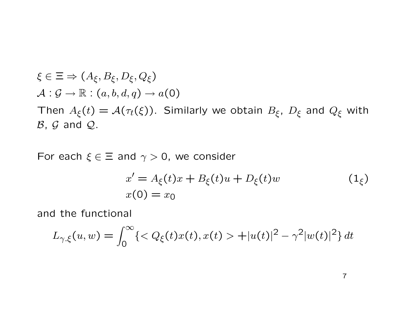$$
\xi \in \Xi \Rightarrow (A_{\xi}, B_{\xi}, D_{\xi}, Q_{\xi})
$$
  
\n
$$
\mathcal{A}: \mathcal{G} \to \mathbb{R}: (a, b, d, q) \to a(0)
$$
  
\nThen  $A_{\xi}(t) = \mathcal{A}(\tau_t(\xi))$ . Similarly we obtain  $B_{\xi}$ ,  $D_{\xi}$  and  $Q_{\xi}$  with  $B$ ,  $G$  and  $Q$ .

For each  $\xi \in \Xi$  and  $\gamma > 0$ , we consider

$$
x' = A_{\xi}(t)x + B_{\xi}(t)u + D_{\xi}(t)w
$$
  
\n
$$
x(0) = x_0
$$
\n(1<sub>\xi</sub>)

and the functional

$$
L_{\gamma,\xi}(u,w) = \int_0^\infty \{ < Q_\xi(t)x(t), x(t) > + |u(t)|^2 - \gamma^2 |w(t)|^2 \} dt
$$

7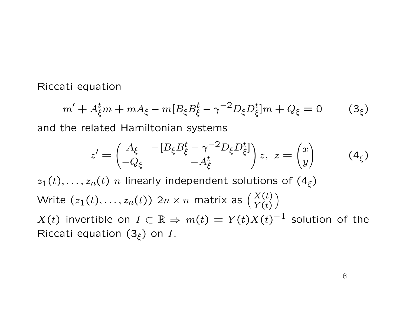Riccati equation

$$
m' + A_{\xi}^{t} m + m A_{\xi} - m [B_{\xi} B_{\xi}^{t} - \gamma^{-2} D_{\xi} D_{\xi}^{t}] m + Q_{\xi} = 0 \qquad (3_{\xi})
$$

and the related Hamiltonian systems

$$
z' = \begin{pmatrix} A_{\xi} & -[B_{\xi}B_{\xi}^{t} - \gamma^{-2}D_{\xi}D_{\xi}^{t}] \\ -Q_{\xi} & -A_{\xi}^{t} \end{pmatrix} z, \ z = \begin{pmatrix} x \\ y \end{pmatrix} \qquad (4_{\xi})
$$

 $z_1(t), \ldots, z_n(t)$  n linearly independent solutions of  $(4_\xi)$ Write  $(z_1(t),\dots,z_n(t))$  2 $n\times n$  matrix as  ${X(t)\choose Y(t)}$  $\setminus$  $X(t)$  invertible on  $I\subset\mathbb{R}\Rightarrow m(t)=Y(t)X(t)^{-1}$  solution of the Riccati equation  $(3_\xi)$  on I.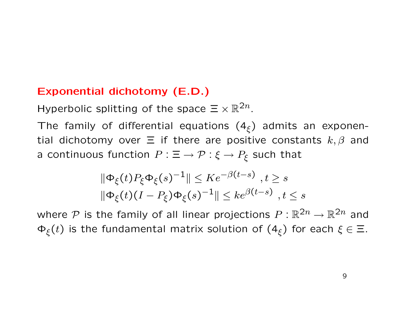# Exponential dichotomy (E.D.)

Hyperbolic splitting of the space  $\Xi \times \mathbb{R}^{2n}$ .

The family of differential equations  $(4_\xi)$  admits an exponential dichotomy over  $\Xi$  if there are positive constants  $k, \beta$  and a continuous function  $P : \Xi \to \mathcal{P} : \xi \to P_{\xi}$  such that

$$
\|\Phi_{\xi}(t)P_{\xi}\Phi_{\xi}(s)^{-1}\| \leq Ke^{-\beta(t-s)}, t \geq s
$$
  

$$
\|\Phi_{\xi}(t)(I-P_{\xi})\Phi_{\xi}(s)^{-1}\| \leq ke^{\beta(t-s)}, t \leq s
$$

where P is the family of all linear projections  $P: \mathbb{R}^{2n} \to \mathbb{R}^{2n}$  and  $\Phi_{\xi}(t)$  is the fundamental matrix solution of  $(4_{\xi})$  for each  $\xi \in \Xi$ .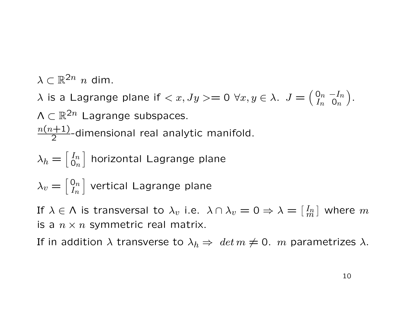$\lambda \subset \mathbb{R}^{2n}$  n dim.

 $\lambda$  is a Lagrange plane if  $\langle x, Jy \rangle = 0 \; \forall x, y \in \lambda$ .  $J = \begin{pmatrix} 0 & -I_n \\ I_n & 0 \end{pmatrix}$  $I_n$  On .  $\Lambda \subset \mathbb{R}^{2n}$  Lagrange subspaces.  $n(n+1)$  $\frac{2^{n+1}}{2}$ -dimensional real analytic manifold.

$$
\lambda_h = \begin{bmatrix} I_n \\ 0_n \end{bmatrix}
$$
 horizontal Lagrange plane  

$$
\lambda_v = \begin{bmatrix} 0_n \\ I_n \end{bmatrix}
$$
 vertical Lagrange plane

If  $\lambda \in \mathsf{\Lambda}$  is transversal to  $\lambda_v$  i.e.  $\lambda \cap \lambda_v = 0 \Rightarrow \lambda = [\frac{I_m}{m}]$  $\tilde{m}$  $\vert$  where  $m$ is a  $n \times n$  symmetric real matrix.

If in addition  $\lambda$  transverse to  $\lambda_h \Rightarrow det m \neq 0$ . m parametrizes  $\lambda$ .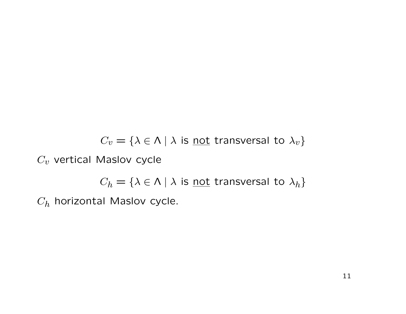$C_v = \{\lambda \in \Lambda \mid \lambda \text{ is } \underline{\text{not}}$  transversal to  $\lambda_v\}$ 

 $C_v$  vertical Maslov cycle

 $C_h = \{ \lambda \in \Lambda \mid \lambda \text{ is } \underline{\text{not}} \text{ transversal to } \lambda_h \}$ 

 $C_h$  horizontal Maslov cycle.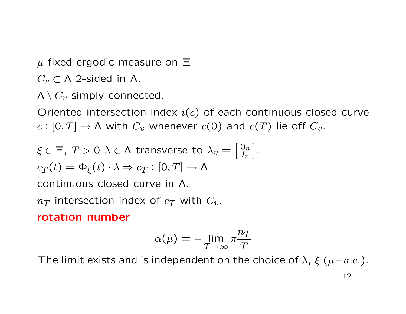$\mu$  fixed ergodic measure on  $\Xi$ 

 $C_v \subset \Lambda$  2-sided in  $\Lambda$ .

 $\Lambda \setminus C_v$  simply connected.

Oriented intersection index  $i(c)$  of each continuous closed curve  $c : [0, T] \to \Lambda$  with  $C_v$  whenever  $c(0)$  and  $c(T)$  lie off  $C_v$ .

$$
\xi \in \Xi, T > 0 \ \lambda \in \Lambda \ \text{transverse to} \ \lambda_v = \begin{bmatrix} 0_n \\ I_n \end{bmatrix}.
$$

$$
c_T(t) = \Phi_{\xi}(t) \cdot \lambda \Rightarrow c_T : [0, T] \to \Lambda
$$

continuous closed curve in Λ.

 $n_T$  intersection index of  $c_T$  with  $C_v$ .

## rotation number

$$
\alpha(\mu) = -\lim_{T \to \infty} \pi \frac{n_T}{T}
$$

The limit exists and is independent on the choice of  $\lambda$ ,  $\xi$  ( $\mu-a.e.$ ).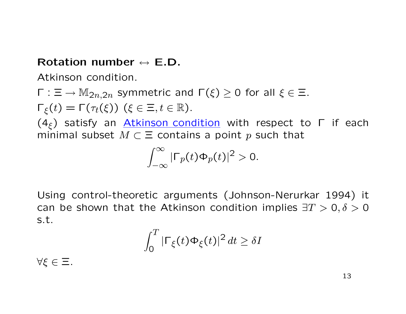# Rotation number  $\leftrightarrow$  F.D.

Atkinson condition.

$$
\Gamma : \Xi \to M_{2n,2n}
$$
 symmetric and  $\Gamma(\xi) \ge 0$  for all  $\xi \in \Xi$ .

 $\Gamma_{\xi}(t) = \Gamma(\tau_t(\xi))$   $(\xi \in \Xi, t \in \mathbb{R})$ .

(4<sub>ξ</sub>) satisfy an Atkinson condition with respect to  $\Gamma$  if each minimal subset  $M \subset \Xi$  contains a point p such that

$$
\int_{-\infty}^{\infty} |\Gamma_p(t)\Phi_p(t)|^2 > 0.
$$

Using control-theoretic arguments (Johnson-Nerurkar 1994) it can be shown that the Atkinson condition implies  $\exists T > 0, \delta > 0$ s.t.

$$
\int_0^T |\Gamma_{\xi}(t)\Phi_{\xi}(t)|^2 dt \geq \delta I
$$

∀ξ ∈ Ξ.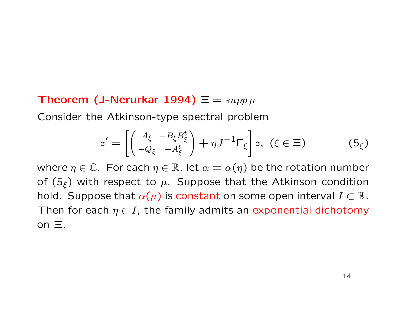## Theorem (J-Nerurkar 1994)  $\Xi = supp \mu$

Consider the Atkinson-type spectral problem

$$
z' = \left[ \begin{pmatrix} A_{\xi} & -B_{\xi} B_{\xi}^{t} \\ -Q_{\xi} & -A_{\xi}^{t} \end{pmatrix} + \eta J^{-1} \Gamma_{\xi} \right] z, \ (\xi \in \Xi) \tag{5}_{\xi}
$$

where  $\eta \in \mathbb{C}$ . For each  $\eta \in \mathbb{R}$ , let  $\alpha = \alpha(\eta)$  be the rotation number of  $(5_\xi)$  with respect to  $\mu$ . Suppose that the Atkinson condition hold. Suppose that  $\alpha(\mu)$  is constant on some open interval  $I \subset \mathbb{R}$ . Then for each  $\eta \in I$ , the family admits an exponential dichotomy on  $\Xi$ .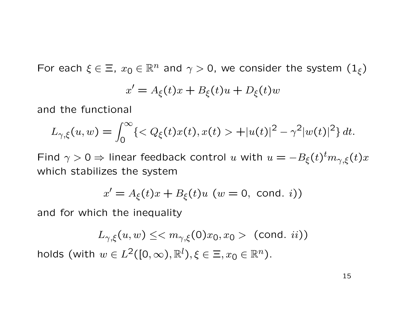For each  $\xi \in \Xi$ ,  $x_0 \in \mathbb{R}^n$  and  $\gamma > 0$ , we consider the system  $(1_{\xi})$ 

$$
x' = A_{\xi}(t)x + B_{\xi}(t)u + D_{\xi}(t)w
$$

and the functional

$$
L_{\gamma,\xi}(u,w) = \int_0^\infty \{ < Q_\xi(t)x(t), x(t) > + |u(t)|^2 - \gamma^2 |w(t)|^2 \} \, dt.
$$

Find  $\gamma > 0 \Rightarrow$  linear feedback control u with  $u = -B_{\xi}(t)^{t} m_{\gamma, \xi}(t) x$ which stabilizes the system

$$
x' = A_{\xi}(t)x + B_{\xi}(t)u \quad (w = 0, \text{ cond. } i))
$$

and for which the inequality

$$
L_{\gamma,\xi}(u,w) \leq \langle m_{\gamma,\xi}(0)x_0, x_0 \rangle \quad \text{(cond. } ii))
$$
 holds (with  $w \in L^2([0,\infty), \mathbb{R}^l), \xi \in \Xi, x_0 \in \mathbb{R}^n)$ .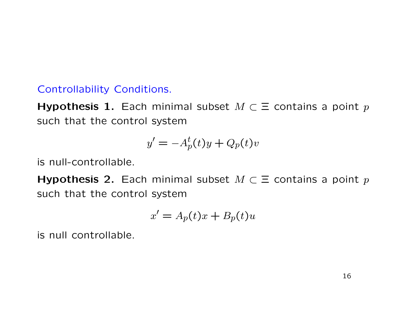## Controllability Conditions.

Hypothesis 1. Each minimal subset  $M \subset \Xi$  contains a point p such that the control system

$$
y' = -A_p^t(t)y + Q_p(t)v
$$

is null-controllable.

**Hypothesis 2.** Each minimal subset  $M \subset \Xi$  contains a point p such that the control system

$$
x' = A_p(t)x + B_p(t)u
$$

is null controllable.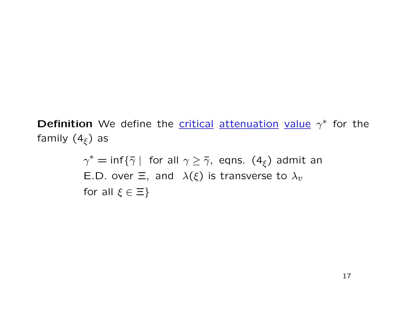**Definition** We define the **critical attenuation value**  $\gamma^*$  for the family  $(4_\xi)$  as

> $\gamma^* = \inf\{\bar{\gamma} \mid \text{ for all } \gamma \geq \bar{\gamma}, \text{ eqns. } (4_{\xi}) \text{ admit an }$ E.D. over  $\Xi$ , and  $\lambda(\xi)$  is transverse to  $\lambda_v$ for all  $\xi \in \Xi$ }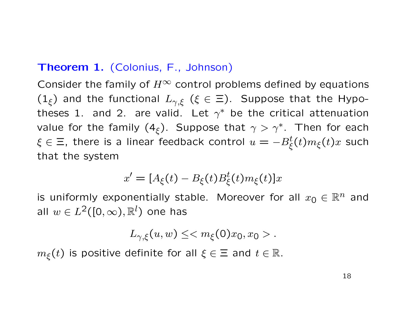## Theorem 1. (Colonius, F., Johnson)

Consider the family of  $H^{\infty}$  control problems defined by equations  $(1_{\xi})$  and the functional  $L_{\gamma,\xi}$  ( $\xi \in \Xi$ ). Suppose that the Hypotheses 1. and 2. are valid. Let  $\gamma^*$  be the critical attenuation value for the family  $(4_{\xi})$ . Suppose that  $\gamma > \gamma^*$ . Then for each  $\xi \in \Xi$ , there is a linear feedback control  $u = -B_{\xi}^t(t) m_{\xi}(t) x$  such that the system

$$
x' = [A_{\xi}(t) - B_{\xi}(t)B_{\xi}^{t}(t)m_{\xi}(t)]x
$$

is uniformly exponentially stable. Moreover for all  $x_0 \in \mathbb{R}^n$  and all  $w \in L^2([0,\infty),\mathbb{R}^l)$  one has

$$
L_{\gamma,\xi}(u,w)\leq .
$$

 $m_{\xi}(t)$  is positive definite for all  $\xi \in \Xi$  and  $t \in \mathbb{R}$ .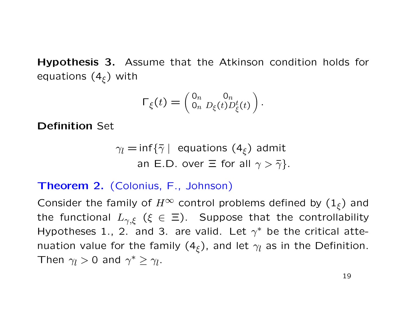Hypothesis 3. Assume that the Atkinson condition holds for equations  $(4_{\xi})$  with

$$
\Gamma_{\xi}(t) = \begin{pmatrix} 0_n & 0_n \\ 0_n & D_{\xi}(t) D_{\xi}^t(t) \end{pmatrix}.
$$

Definition Set

$$
\gamma_l = \inf \{ \bar{\gamma} \mid \text{ equations } (4_{\xi}) \text{ admit} \\ \text{an E.D. over } \Xi \text{ for all } \gamma > \bar{\gamma} \}.
$$

## Theorem 2. (Colonius, F., Johnson)

Consider the family of  $H^{\infty}$  control problems defined by  $(1_{\xi})$  and the functional  $L_{\gamma,\xi}$  ( $\xi \in \Xi$ ). Suppose that the controllability Hypotheses 1., 2. and 3. are valid. Let  $\gamma^*$  be the critical attenuation value for the family  $(4_{\xi})$ , and let  $\gamma_{l}$  as in the Definition. Then  $\gamma_l > 0$  and  $\gamma^* \geq \gamma_l$ .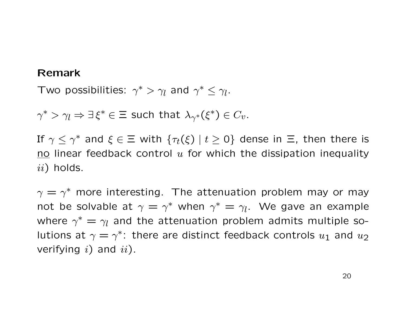#### Remark

Two possibilities:  $\gamma^* > \gamma_l$  and  $\gamma^* \leq \gamma_l$ .

 $\gamma^* > \gamma_l \Rightarrow \exists \, \xi^* \in \Xi$  such that  $\lambda_{\gamma^*}(\xi^*) \in C_v$ .

If  $\gamma \leq \gamma^{*}$  and  $\xi \in \Xi$  with  $\{\tau_t(\xi) \mid t \geq 0\}$  dense in  $\Xi$ , then there is no linear feedback control  $u$  for which the dissipation inequality  $ii)$  holds.

 $\gamma = \gamma^*$  more interesting. The attenuation problem may or may not be solvable at  $\gamma = \gamma^*$  when  $\gamma^* = \gamma_l$ . We gave an example where  $\gamma^* = \gamma_l$  and the attenuation problem admits multiple solutions at  $\gamma = \gamma^*$ : there are distinct feedback controls  $u_1$  and  $u_2$ verifying  $i)$  and  $ii)$ .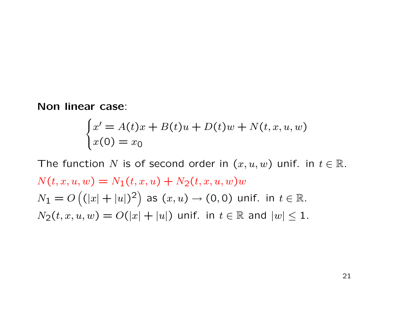Non linear case:

$$
\begin{cases}\nx' = A(t)x + B(t)u + D(t)w + N(t, x, u, w) \\
x(0) = x_0\n\end{cases}
$$

The function N is of second order in  $(x, u, w)$  unif. in  $t \in \mathbb{R}$ .  $N(t, x, u, w) = N_1(t, x, u) + N_2(t, x, u, w)$  $N_1=O\left((|x|+|u|)^2\right)$  as  $(x,u)\to (0,0)$  unif. in  $t\in\mathbb{R}.$  $N_2(t, x, u, w) = O(|x| + |u|)$  unif. in  $t \in \mathbb{R}$  and  $|w| \leq 1$ .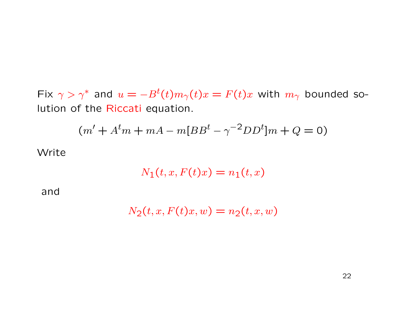Fix  $\gamma > \gamma^*$  and  $u = -B^t(t)m_\gamma(t)x = F(t)x$  with  $m_\gamma$  bounded solution of the Riccati equation.

$$
(m' + Atm + mA - m[BBt - \gamma-2DDt]m + Q = 0)
$$

Write

$$
N_1(t, x, F(t)x) = n_1(t, x)
$$

and

$$
N_2(t, x, F(t)x, w) = n_2(t, x, w)
$$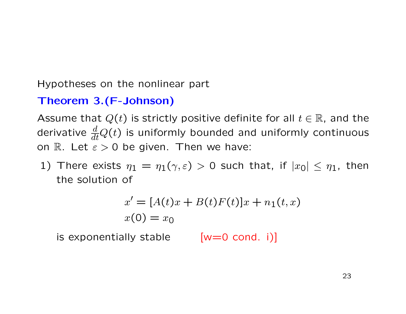Hypotheses on the nonlinear part

# Theorem 3.(F-Johnson)

Assume that  $Q(t)$  is strictly positive definite for all  $t \in \mathbb{R}$ , and the derivative  $\frac{d}{dt}Q(t)$  is uniformly bounded and uniformly continuous on R. Let  $\varepsilon > 0$  be given. Then we have:

1) There exists  $\eta_1 = \eta_1(\gamma, \varepsilon) > 0$  such that, if  $|x_0| \le \eta_1$ , then the solution of

$$
x' = [A(t)x + B(t)F(t)]x + n_1(t, x)
$$
  

$$
x(0) = x_0
$$

is exponentially stable  $[w=0 \text{ cond. } i)]$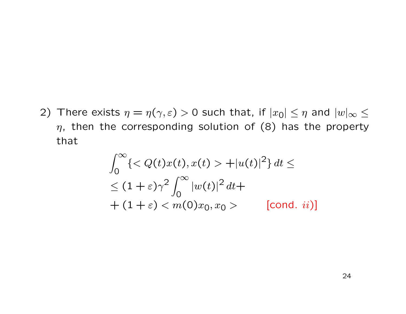2) There exists  $\eta = \eta(\gamma, \varepsilon) > 0$  such that, if  $|x_0| \leq \eta$  and  $|w|_{\infty} \leq$  $\eta$ , then the corresponding solution of (8) has the property that

$$
\int_0^\infty \{< Q(t)x(t), x(t) > + |u(t)|^2\} dt \le
$$
\n
$$
\leq (1+\varepsilon)\gamma^2 \int_0^\infty |w(t)|^2 dt +
$$
\n
$$
+ (1+\varepsilon) < m(0)x_0, x_0 > \qquad \text{[cond. ii]}
$$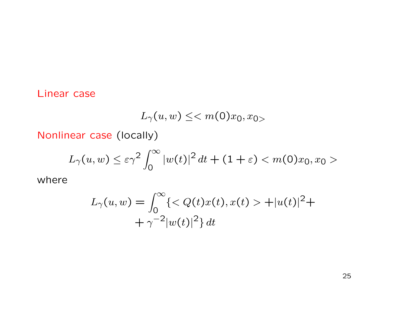## Linear case

$$
L_{\gamma}(u, w) \leq \langle m(0)x_0, x_0 \rangle
$$

Nonlinear case (locally)

$$
L_{\gamma}(u, w) \leq \varepsilon \gamma^2 \int_0^{\infty} |w(t)|^2 dt + (1 + \varepsilon) < m(0)x_0, x_0 >
$$

where

$$
L_{\gamma}(u, w) = \int_0^{\infty} \{  + |u(t)|^2 + + \gamma^{-2} |w(t)|^2 \} dt
$$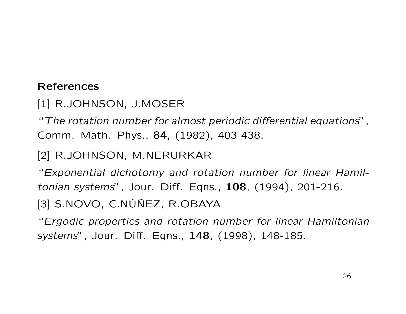## References

[1] R.JOHNSON, J.MOSER

"The rotation number for almost periodic differential equations", Comm. Math. Phys., 84, (1982), 403-438.

# [2] R.JOHNSON, M.NERURKAR

"Exponential dichotomy and rotation number for linear Hamiltonian systems", Jour. Diff. Eqns., 108, (1994), 201-216.

 $[3]$  S.NOVO, C.NU $\tilde{N}$ EZ, R.OBAYA

"Ergodic properties and rotation number for linear Hamiltonian systems", Jour. Diff. Eqns., 148, (1998), 148-185.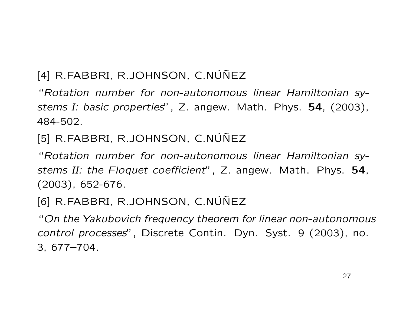# $[4]$  R.FABBRI, R.JOHNSON, C.NÚÑEZ

"Rotation number for non-autonomous linear Hamiltonian systems I: basic properties", Z. angew. Math. Phys. 54, (2003), 484-502.

[5] R.FABBRI, R.JOHNSON, C.NÚÑEZ

"Rotation number for non-autonomous linear Hamiltonian systems II: the Floquet coefficient", Z. angew. Math. Phys. 54, (2003), 652-676.

[6] R.FABBRI, R.JOHNSON, C.NÚÑEZ

"On the Yakubovich frequency theorem for linear non-autonomous control processes", Discrete Contin. Dyn. Syst. 9 (2003), no. 3, 677–704.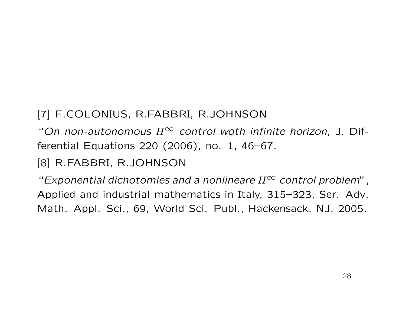# [7] F.COLONIUS, R.FABBRI, R.JOHNSON

"On non-autonomous  $H^\infty$  control woth infinite horizon, J. Differential Equations 220 (2006), no. 1, 46–67.

[8] R.FABBRI, R.JOHNSON

"Exponential dichotomies and a nonlineare  $H^{\infty}$  control problem", Applied and industrial mathematics in Italy, 315–323, Ser. Adv. Math. Appl. Sci., 69, World Sci. Publ., Hackensack, NJ, 2005.